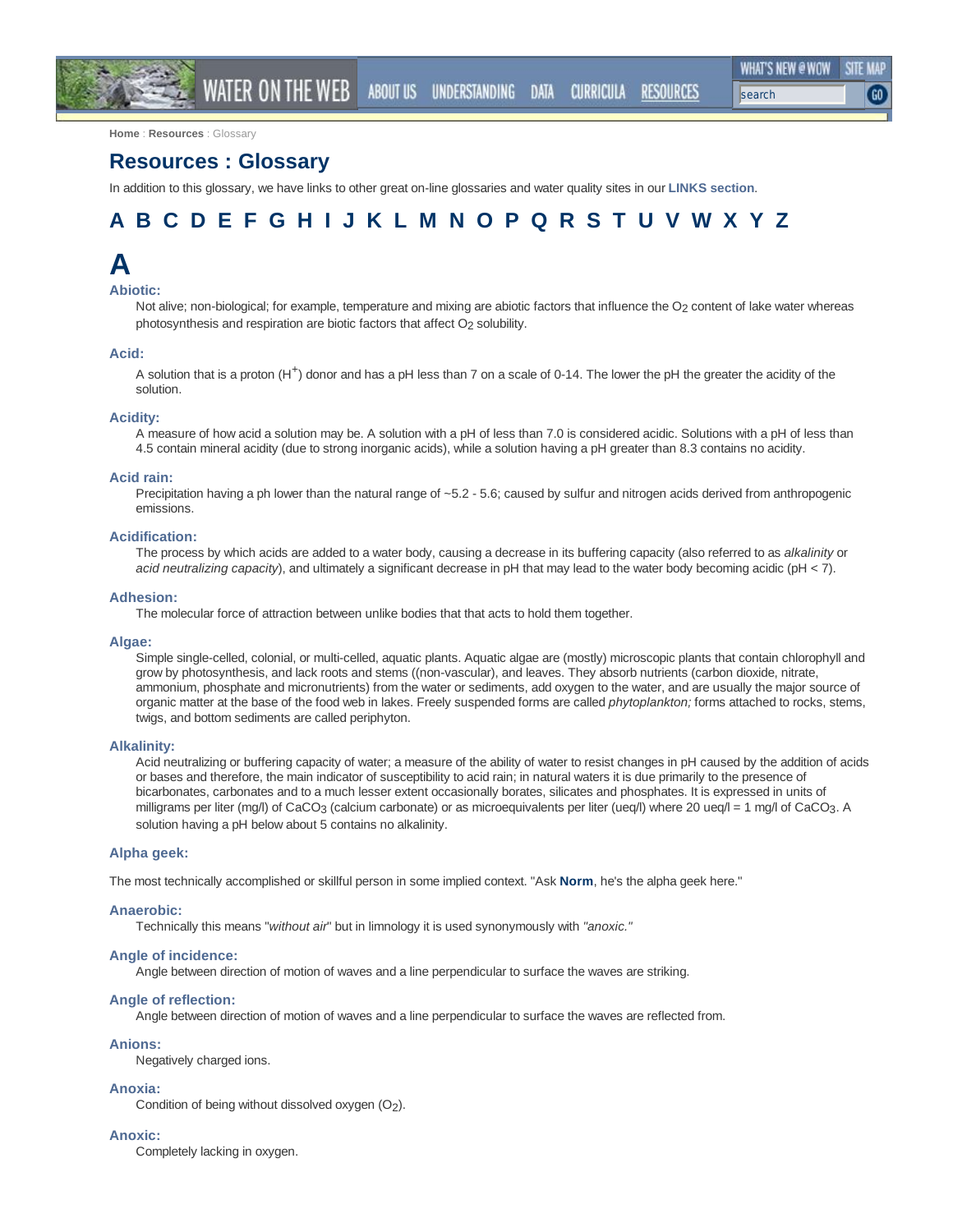RESOURCES

**Home** : **Resources** : Glossary

## **Resources : Glossary**

In addition to this glossary, we have links to other great on-line glossaries and water quality sites in our **LINKS section**.

WATER ON THE WEB ABOUT US UNDERSTANDING DATA CURRICULA

## A B C D E F G H I J K L M N O P Q R S T U V W X Y Z

## **A**

## **Abiotic:**

Not alive; non-biological; for example, temperature and mixing are abiotic factors that influence the O<sub>2</sub> content of lake water whereas photosynthesis and respiration are biotic factors that affect O<sub>2</sub> solubility.

#### **Acid:**

A solution that is a proton (H<sup>+</sup>) donor and has a pH less than 7 on a scale of 0-14. The lower the pH the greater the acidity of the solution.

#### **Acidity:**

A measure of how acid a solution may be. A solution with a pH of less than 7.0 is considered acidic. Solutions with a pH of less than 4.5 contain mineral acidity (due to strong inorganic acids), while a solution having a pH greater than 8.3 contains no acidity.

#### **Acid rain:**

Precipitation having a ph lower than the natural range of ~5.2 - 5.6; caused by sulfur and nitrogen acids derived from anthropogenic emissions.

## **Acidification:**

The process by which acids are added to a water body, causing a decrease in its buffering capacity (also referred to as *alkalinity* or *acid neutralizing capacity*), and ultimately a significant decrease in pH that may lead to the water body becoming acidic (pH < 7).

#### **Adhesion:**

The molecular force of attraction between unlike bodies that that acts to hold them together.

#### **Algae:**

Simple single-celled, colonial, or multi-celled, aquatic plants. Aquatic algae are (mostly) microscopic plants that contain chlorophyll and grow by photosynthesis, and lack roots and stems ((non-vascular), and leaves. They absorb nutrients (carbon dioxide, nitrate, ammonium, phosphate and micronutrients) from the water or sediments, add oxygen to the water, and are usually the major source of organic matter at the base of the food web in lakes. Freely suspended forms are called *phytoplankton;* forms attached to rocks, stems, twigs, and bottom sediments are called periphyton.

#### **Alkalinity:**

Acid neutralizing or buffering capacity of water; a measure of the ability of water to resist changes in pH caused by the addition of acids or bases and therefore, the main indicator of susceptibility to acid rain; in natural waters it is due primarily to the presence of bicarbonates, carbonates and to a much lesser extent occasionally borates, silicates and phosphates. It is expressed in units of milligrams per liter (mg/l) of CaCO<sub>3</sub> (calcium carbonate) or as microequivalents per liter (ueq/l) where 20 ueq/l = 1 mg/l of CaCO<sub>3</sub>. A solution having a pH below about 5 contains no alkalinity.

## **Alpha geek:**

The most technically accomplished or skillful person in some implied context. "Ask **Norm**, he's the alpha geek here."

#### **Anaerobic:**

Technically this means "*without air*" but in limnology it is used synonymously with *"anoxic."*

#### **Angle of incidence:**

Angle between direction of motion of waves and a line perpendicular to surface the waves are striking.

#### **Angle of reflection:**

Angle between direction of motion of waves and a line perpendicular to surface the waves are reflected from.

## **Anions:**

Negatively charged ions.

#### **Anoxia:**

Condition of being without dissolved oxygen (O2).

#### **Anoxic:**

Completely lacking in oxygen.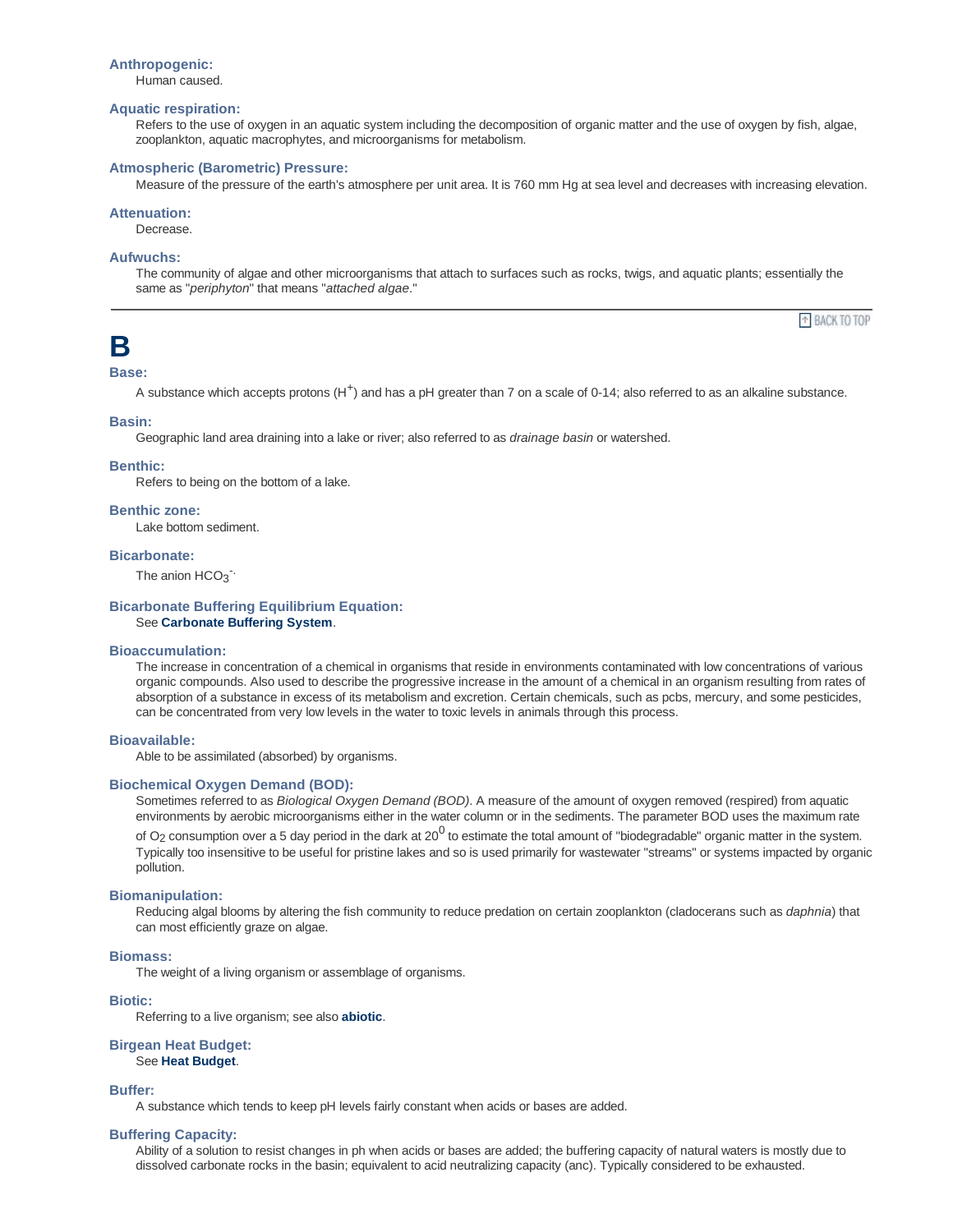#### **Anthropogenic:**

Human caused.

### **Aquatic respiration:**

Refers to the use of oxygen in an aquatic system including the decomposition of organic matter and the use of oxygen by fish, algae, zooplankton, aquatic macrophytes, and microorganisms for metabolism.

#### **Atmospheric (Barometric) Pressure:**

Measure of the pressure of the earth's atmosphere per unit area. It is 760 mm Hg at sea level and decreases with increasing elevation.

## **Attenuation:**

Decrease.

## **Aufwuchs:**

The community of algae and other microorganisms that attach to surfaces such as rocks, twigs, and aquatic plants; essentially the same as "*periphyton*" that means "*attached algae*."

<sup>+</sup> BACK TO TOP

## **B**

#### **Base:**

A substance which accepts protons (H<sup>+</sup>) and has a pH greater than 7 on a scale of 0-14; also referred to as an alkaline substance.

#### **Basin:**

Geographic land area draining into a lake or river; also referred to as *drainage basin* or watershed.

#### **Benthic:**

Refers to being on the bottom of a lake.

## **Benthic zone:**

Lake bottom sediment.

## **Bicarbonate:**

The anion  $HCO_3^-$ 

#### **Bicarbonate Buffering Equilibrium Equation:** See **Carbonate Buffering System**.

## **Bioaccumulation:**

The increase in concentration of a chemical in organisms that reside in environments contaminated with low concentrations of various organic compounds. Also used to describe the progressive increase in the amount of a chemical in an organism resulting from rates of absorption of a substance in excess of its metabolism and excretion. Certain chemicals, such as pcbs, mercury, and some pesticides, can be concentrated from very low levels in the water to toxic levels in animals through this process.

#### **Bioavailable:**

Able to be assimilated (absorbed) by organisms.

## **Biochemical Oxygen Demand (BOD):**

Sometimes referred to as *Biological Oxygen Demand (BOD)*. A measure of the amount of oxygen removed (respired) from aquatic environments by aerobic microorganisms either in the water column or in the sediments. The parameter BOD uses the maximum rate of O<sub>2</sub> consumption over a 5 day period in the dark at 20<sup>0</sup> to estimate the total amount of "biodegradable" organic matter in the system. Typically too insensitive to be useful for pristine lakes and so is used primarily for wastewater "streams" or systems impacted by organic pollution.

## **Biomanipulation:**

Reducing algal blooms by altering the fish community to reduce predation on certain zooplankton (cladocerans such as *daphnia*) that can most efficiently graze on algae.

#### **Biomass:**

The weight of a living organism or assemblage of organisms.

#### **Biotic:**

Referring to a live organism; see also **abiotic**.

## **Birgean Heat Budget:** See **Heat Budget**.

#### **Buffer:**

A substance which tends to keep pH levels fairly constant when acids or bases are added.

#### **Buffering Capacity:**

Ability of a solution to resist changes in ph when acids or bases are added; the buffering capacity of natural waters is mostly due to dissolved carbonate rocks in the basin; equivalent to acid neutralizing capacity (anc). Typically considered to be exhausted.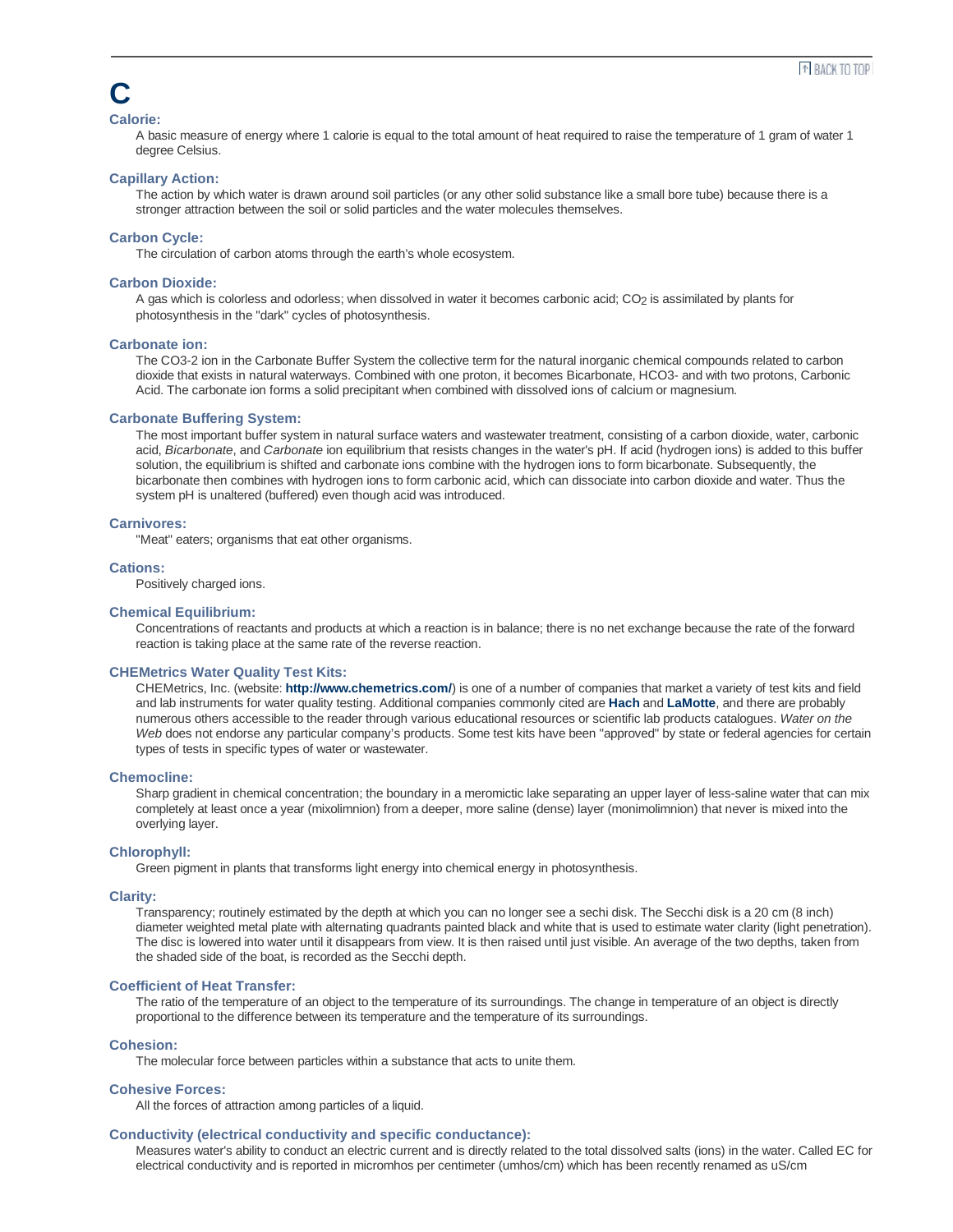## **C**

## **Calorie:**

A basic measure of energy where 1 calorie is equal to the total amount of heat required to raise the temperature of 1 gram of water 1 degree Celsius.

## **Capillary Action:**

The action by which water is drawn around soil particles (or any other solid substance like a small bore tube) because there is a stronger attraction between the soil or solid particles and the water molecules themselves.

## **Carbon Cycle:**

The circulation of carbon atoms through the earth's whole ecosystem.

#### **Carbon Dioxide:**

A gas which is colorless and odorless; when dissolved in water it becomes carbonic acid; CO<sub>2</sub> is assimilated by plants for photosynthesis in the "dark" cycles of photosynthesis.

#### **Carbonate ion:**

The CO3-2 ion in the Carbonate Buffer System the collective term for the natural inorganic chemical compounds related to carbon dioxide that exists in natural waterways. Combined with one proton, it becomes Bicarbonate, HCO3- and with two protons, Carbonic Acid. The carbonate ion forms a solid precipitant when combined with dissolved ions of calcium or magnesium.

#### **Carbonate Buffering System:**

The most important buffer system in natural surface waters and wastewater treatment, consisting of a carbon dioxide, water, carbonic acid, *Bicarbonate*, and *Carbonate* ion equilibrium that resists changes in the water's pH. If acid (hydrogen ions) is added to this buffer solution, the equilibrium is shifted and carbonate ions combine with the hydrogen ions to form bicarbonate. Subsequently, the bicarbonate then combines with hydrogen ions to form carbonic acid, which can dissociate into carbon dioxide and water. Thus the system pH is unaltered (buffered) even though acid was introduced.

#### **Carnivores:**

"Meat" eaters; organisms that eat other organisms.

#### **Cations:**

Positively charged ions.

#### **Chemical Equilibrium:**

Concentrations of reactants and products at which a reaction is in balance; there is no net exchange because the rate of the forward reaction is taking place at the same rate of the reverse reaction.

#### **CHEMetrics Water Quality Test Kits:**

CHEMetrics, Inc. (website: **http://www.chemetrics.com/**) is one of a number of companies that market a variety of test kits and field and lab instruments for water quality testing. Additional companies commonly cited are **Hach** and **LaMotte**, and there are probably numerous others accessible to the reader through various educational resources or scientific lab products catalogues. *Water on the Web* does not endorse any particular company's products. Some test kits have been "approved" by state or federal agencies for certain types of tests in specific types of water or wastewater.

#### **Chemocline:**

Sharp gradient in chemical concentration; the boundary in a meromictic lake separating an upper layer of less-saline water that can mix completely at least once a year (mixolimnion) from a deeper, more saline (dense) layer (monimolimnion) that never is mixed into the overlying layer.

#### **Chlorophyll:**

Green pigment in plants that transforms light energy into chemical energy in photosynthesis.

## **Clarity:**

Transparency; routinely estimated by the depth at which you can no longer see a sechi disk. The Secchi disk is a 20 cm (8 inch) diameter weighted metal plate with alternating quadrants painted black and white that is used to estimate water clarity (light penetration). The disc is lowered into water until it disappears from view. It is then raised until just visible. An average of the two depths, taken from the shaded side of the boat, is recorded as the Secchi depth.

#### **Coefficient of Heat Transfer:**

The ratio of the temperature of an object to the temperature of its surroundings. The change in temperature of an object is directly proportional to the difference between its temperature and the temperature of its surroundings.

## **Cohesion:**

The molecular force between particles within a substance that acts to unite them.

## **Cohesive Forces:**

All the forces of attraction among particles of a liquid.

## **Conductivity (electrical conductivity and specific conductance):**

Measures water's ability to conduct an electric current and is directly related to the total dissolved salts (ions) in the water. Called EC for electrical conductivity and is reported in micromhos per centimeter (umhos/cm) which has been recently renamed as uS/cm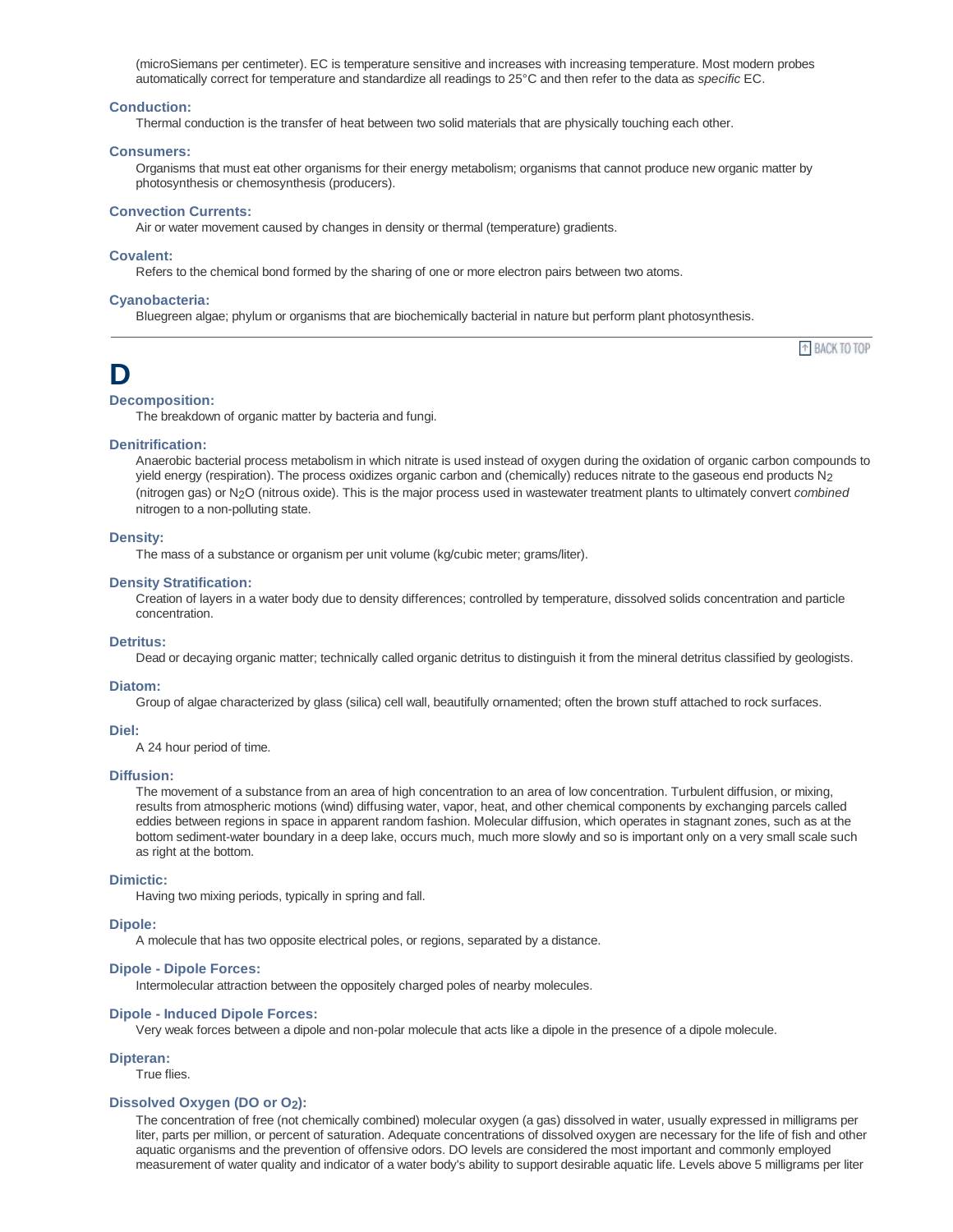(microSiemans per centimeter). EC is temperature sensitive and increases with increasing temperature. Most modern probes automatically correct for temperature and standardize all readings to 25°C and then refer to the data as *specific* EC.

#### **Conduction:**

Thermal conduction is the transfer of heat between two solid materials that are physically touching each other.

#### **Consumers:**

Organisms that must eat other organisms for their energy metabolism; organisms that cannot produce new organic matter by photosynthesis or chemosynthesis (producers).

#### **Convection Currents:**

Air or water movement caused by changes in density or thermal (temperature) gradients.

#### **Covalent:**

Refers to the chemical bond formed by the sharing of one or more electron pairs between two atoms.

#### **Cyanobacteria:**

Bluegreen algae; phylum or organisms that are biochemically bacterial in nature but perform plant photosynthesis.

## **D**

## **Decomposition:**

The breakdown of organic matter by bacteria and fungi.

## **Denitrification:**

Anaerobic bacterial process metabolism in which nitrate is used instead of oxygen during the oxidation of organic carbon compounds to yield energy (respiration). The process oxidizes organic carbon and (chemically) reduces nitrate to the gaseous end products N<sub>2</sub> (nitrogen gas) or N2O (nitrous oxide). This is the major process used in wastewater treatment plants to ultimately convert *combined* nitrogen to a non-polluting state.

<sup>+</sup> BACK TO TOP

## **Density:**

The mass of a substance or organism per unit volume (kg/cubic meter; grams/liter).

#### **Density Stratification:**

Creation of layers in a water body due to density differences; controlled by temperature, dissolved solids concentration and particle concentration.

#### **Detritus:**

Dead or decaying organic matter; technically called organic detritus to distinguish it from the mineral detritus classified by geologists.

#### **Diatom:**

Group of algae characterized by glass (silica) cell wall, beautifully ornamented; often the brown stuff attached to rock surfaces.

#### **Diel:**

A 24 hour period of time.

#### **Diffusion:**

The movement of a substance from an area of high concentration to an area of low concentration. Turbulent diffusion, or mixing, results from atmospheric motions (wind) diffusing water, vapor, heat, and other chemical components by exchanging parcels called eddies between regions in space in apparent random fashion. Molecular diffusion, which operates in stagnant zones, such as at the bottom sediment-water boundary in a deep lake, occurs much, much more slowly and so is important only on a very small scale such as right at the bottom.

## **Dimictic:**

Having two mixing periods, typically in spring and fall.

#### **Dipole:**

A molecule that has two opposite electrical poles, or regions, separated by a distance.

#### **Dipole - Dipole Forces:**

Intermolecular attraction between the oppositely charged poles of nearby molecules.

#### **Dipole - Induced Dipole Forces:**

Very weak forces between a dipole and non-polar molecule that acts like a dipole in the presence of a dipole molecule.

#### **Dipteran:**

True flies.

#### **Dissolved Oxygen (DO or O2):**

The concentration of free (not chemically combined) molecular oxygen (a gas) dissolved in water, usually expressed in milligrams per liter, parts per million, or percent of saturation. Adequate concentrations of dissolved oxygen are necessary for the life of fish and other aquatic organisms and the prevention of offensive odors. DO levels are considered the most important and commonly employed measurement of water quality and indicator of a water body's ability to support desirable aquatic life. Levels above 5 milligrams per liter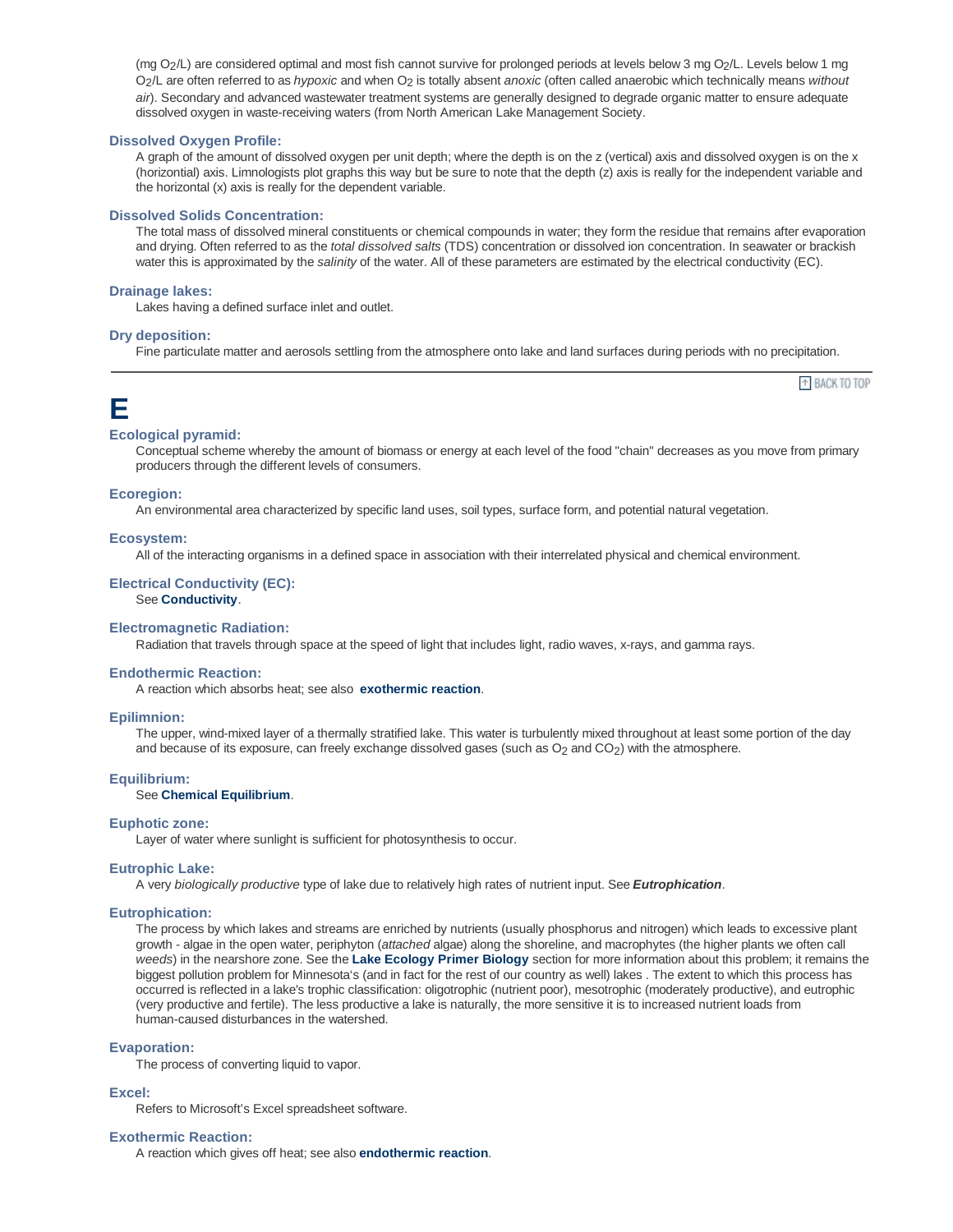(mg O2/L) are considered optimal and most fish cannot survive for prolonged periods at levels below 3 mg O2/L. Levels below 1 mg O2/L are often referred to as *hypoxic* and when O2 is totally absent *anoxic* (often called anaerobic which technically means *without air*). Secondary and advanced wastewater treatment systems are generally designed to degrade organic matter to ensure adequate dissolved oxygen in waste-receiving waters (from North American Lake Management Society.

## **Dissolved Oxygen Profile:**

A graph of the amount of dissolved oxygen per unit depth; where the depth is on the z (vertical) axis and dissolved oxygen is on the x (horizontial) axis. Limnologists plot graphs this way but be sure to note that the depth (z) axis is really for the independent variable and the horizontal (x) axis is really for the dependent variable.

#### **Dissolved Solids Concentration:**

The total mass of dissolved mineral constituents or chemical compounds in water; they form the residue that remains after evaporation and drying. Often referred to as the *total dissolved salts* (TDS) concentration or dissolved ion concentration. In seawater or brackish water this is approximated by the *salinity* of the water. All of these parameters are estimated by the electrical conductivity (EC).

#### **Drainage lakes:**

Lakes having a defined surface inlet and outlet.

#### **Dry deposition:**

Fine particulate matter and aerosols settling from the atmosphere onto lake and land surfaces during periods with no precipitation.

<sup>+</sup> BACK TO TOP

## **E**

## **Ecological pyramid:**

Conceptual scheme whereby the amount of biomass or energy at each level of the food "chain" decreases as you move from primary producers through the different levels of consumers.

#### **Ecoregion:**

An environmental area characterized by specific land uses, soil types, surface form, and potential natural vegetation.

#### **Ecosystem:**

All of the interacting organisms in a defined space in association with their interrelated physical and chemical environment.

#### **Electrical Conductivity (EC):** See **Conductivity**.

## **Electromagnetic Radiation:**

Radiation that travels through space at the speed of light that includes light, radio waves, x-rays, and gamma rays.

#### **Endothermic Reaction:**

A reaction which absorbs heat; see also **exothermic reaction**.

#### **Epilimnion:**

The upper, wind-mixed layer of a thermally stratified lake. This water is turbulently mixed throughout at least some portion of the day and because of its exposure, can freely exchange dissolved gases (such as O<sub>2</sub> and CO<sub>2</sub>) with the atmosphere.

#### **Equilibrium:**

See **Chemical Equilibrium**.

## **Euphotic zone:**

Layer of water where sunlight is sufficient for photosynthesis to occur.

### **Eutrophic Lake:**

A very *biologically productive* type of lake due to relatively high rates of nutrient input. See *Eutrophication*.

#### **Eutrophication:**

The process by which lakes and streams are enriched by nutrients (usually phosphorus and nitrogen) which leads to excessive plant growth - algae in the open water, periphyton (*attached* algae) along the shoreline, and macrophytes (the higher plants we often call *weeds*) in the nearshore zone. See the **Lake Ecology Primer Biology** section for more information about this problem; it remains the biggest pollution problem for Minnesota's (and in fact for the rest of our country as well) lakes . The extent to which this process has occurred is reflected in a lake's trophic classification: oligotrophic (nutrient poor), mesotrophic (moderately productive), and eutrophic (very productive and fertile). The less productive a lake is naturally, the more sensitive it is to increased nutrient loads from human-caused disturbances in the watershed.

#### **Evaporation:**

The process of converting liquid to vapor.

#### **Excel:**

Refers to Microsoft's Excel spreadsheet software.

#### **Exothermic Reaction:**

A reaction which gives off heat; see also **endothermic reaction**.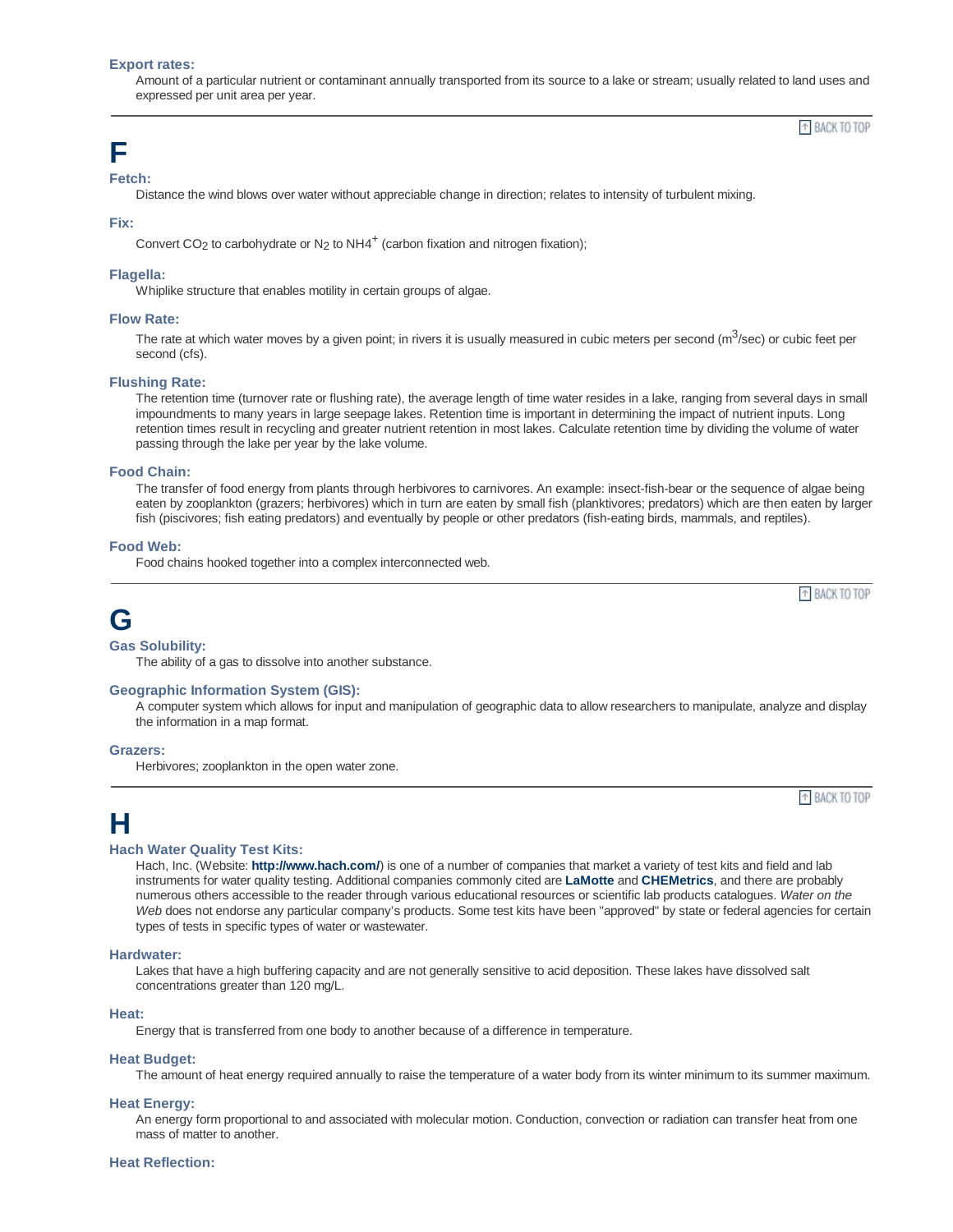#### **Export rates:**

Amount of a particular nutrient or contaminant annually transported from its source to a lake or stream; usually related to land uses and expressed per unit area per year.

<sup>+</sup> BACK TO TOP

<sup>+</sup> BACK TO TOP

<sup>+</sup> BACK TO TOP

## **F**

**Fetch:**

Distance the wind blows over water without appreciable change in direction; relates to intensity of turbulent mixing.

## **Fix:**

Convert CO<sub>2</sub> to carbohydrate or N<sub>2</sub> to NH4<sup>+</sup> (carbon fixation and nitrogen fixation);

## **Flagella:**

Whiplike structure that enables motility in certain groups of algae.

## **Flow Rate:**

The rate at which water moves by a given point; in rivers it is usually measured in cubic meters per second (m $3/$ sec) or cubic feet per second (cfs).

## **Flushing Rate:**

The retention time (turnover rate or flushing rate), the average length of time water resides in a lake, ranging from several days in small impoundments to many years in large seepage lakes. Retention time is important in determining the impact of nutrient inputs. Long retention times result in recycling and greater nutrient retention in most lakes. Calculate retention time by dividing the volume of water passing through the lake per year by the lake volume.

## **Food Chain:**

The transfer of food energy from plants through herbivores to carnivores. An example: insect-fish-bear or the sequence of algae being eaten by zooplankton (grazers; herbivores) which in turn are eaten by small fish (planktivores; predators) which are then eaten by larger fish (piscivores; fish eating predators) and eventually by people or other predators (fish-eating birds, mammals, and reptiles).

## **Food Web:**

Food chains hooked together into a complex interconnected web.

**G**

#### **Gas Solubility:**

The ability of a gas to dissolve into another substance.

## **Geographic Information System (GIS):**

A computer system which allows for input and manipulation of geographic data to allow researchers to manipulate, analyze and display the information in a map format.

#### **Grazers:**

Herbivores; zooplankton in the open water zone.

## **H**

#### **Hach Water Quality Test Kits:**

Hach, Inc. (Website: **http://www.hach.com/**) is one of a number of companies that market a variety of test kits and field and lab instruments for water quality testing. Additional companies commonly cited are **LaMotte** and **CHEMetrics**, and there are probably numerous others accessible to the reader through various educational resources or scientific lab products catalogues. *Water on the Web* does not endorse any particular company's products. Some test kits have been "approved" by state or federal agencies for certain types of tests in specific types of water or wastewater.

#### **Hardwater:**

Lakes that have a high buffering capacity and are not generally sensitive to acid deposition. These lakes have dissolved salt concentrations greater than 120 mg/L.

#### **Heat:**

Energy that is transferred from one body to another because of a difference in temperature.

## **Heat Budget:**

The amount of heat energy required annually to raise the temperature of a water body from its winter minimum to its summer maximum.

## **Heat Energy:**

An energy form proportional to and associated with molecular motion. Conduction, convection or radiation can transfer heat from one mass of matter to another.

#### **Heat Reflection:**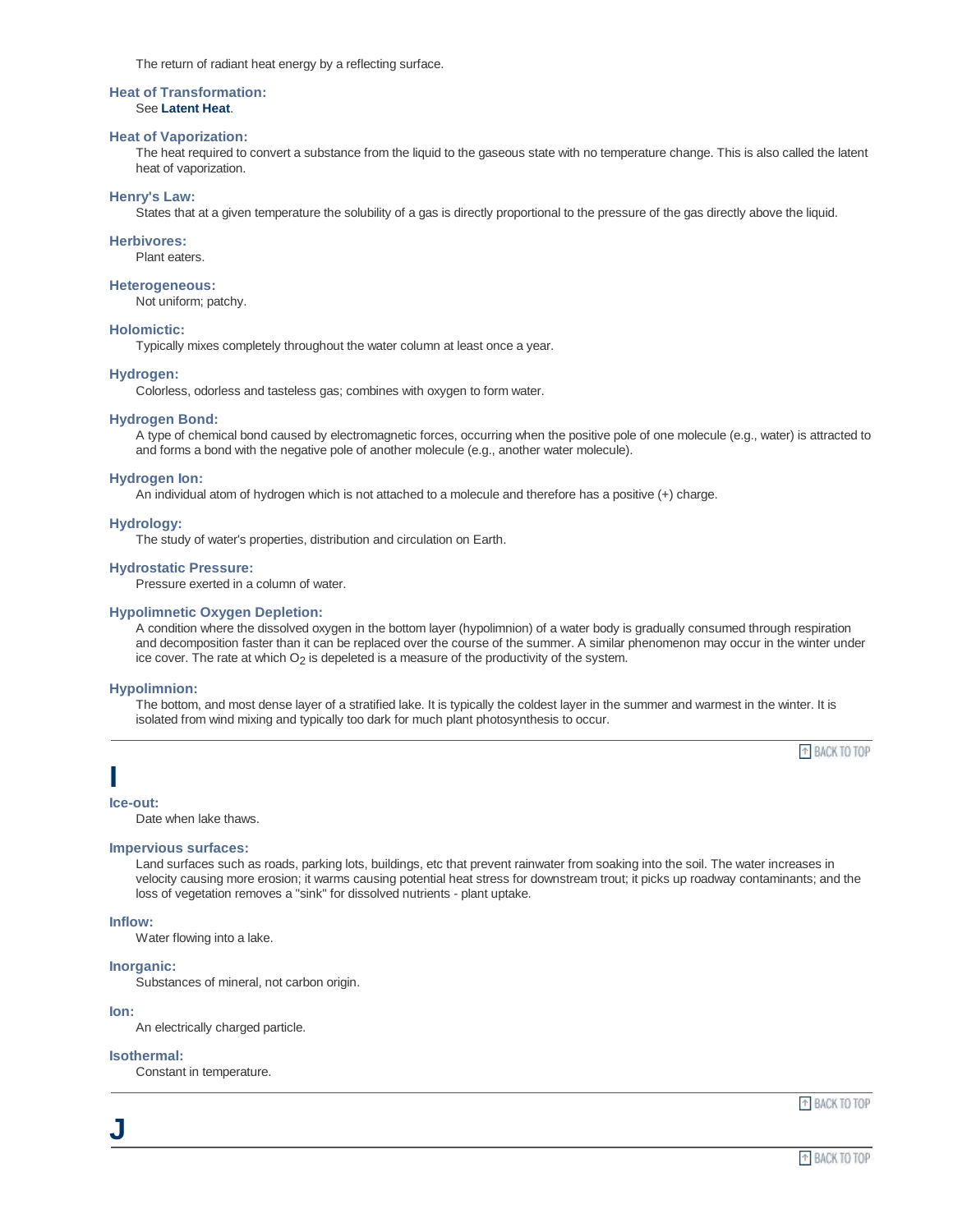The return of radiant heat energy by a reflecting surface.

## **Heat of Transformation:**

See **Latent Heat**.

## **Heat of Vaporization:**

The heat required to convert a substance from the liquid to the gaseous state with no temperature change. This is also called the latent heat of vaporization.

## **Henry's Law:**

States that at a given temperature the solubility of a gas is directly proportional to the pressure of the gas directly above the liquid.

## **Herbivores:**

Plant eaters.

## **Heterogeneous:**

Not uniform; patchy.

## **Holomictic:**

Typically mixes completely throughout the water column at least once a year.

## **Hydrogen:**

Colorless, odorless and tasteless gas; combines with oxygen to form water.

## **Hydrogen Bond:**

A type of chemical bond caused by electromagnetic forces, occurring when the positive pole of one molecule (e.g., water) is attracted to and forms a bond with the negative pole of another molecule (e.g., another water molecule).

## **Hydrogen Ion:**

An individual atom of hydrogen which is not attached to a molecule and therefore has a positive (+) charge.

## **Hydrology:**

The study of water's properties, distribution and circulation on Earth.

## **Hydrostatic Pressure:**

Pressure exerted in a column of water.

## **Hypolimnetic Oxygen Depletion:**

A condition where the dissolved oxygen in the bottom layer (hypolimnion) of a water body is gradually consumed through respiration and decomposition faster than it can be replaced over the course of the summer. A similar phenomenon may occur in the winter under ice cover. The rate at which O<sub>2</sub> is depeleted is a measure of the productivity of the system.

#### **Hypolimnion:**

The bottom, and most dense layer of a stratified lake. It is typically the coldest layer in the summer and warmest in the winter. It is isolated from wind mixing and typically too dark for much plant photosynthesis to occur.

<sup>+</sup> BACK TO TOP

## **I**

**Ice-out:**

Date when lake thaws.

#### **Impervious surfaces:**

Land surfaces such as roads, parking lots, buildings, etc that prevent rainwater from soaking into the soil. The water increases in velocity causing more erosion; it warms causing potential heat stress for downstream trout; it picks up roadway contaminants; and the loss of vegetation removes a "sink" for dissolved nutrients - plant uptake.

## **Inflow:**

Water flowing into a lake.

## **Inorganic:**

Substances of mineral, not carbon origin.

#### **Ion:**

**J**

An electrically charged particle.

## **Isothermal:**

Constant in temperature.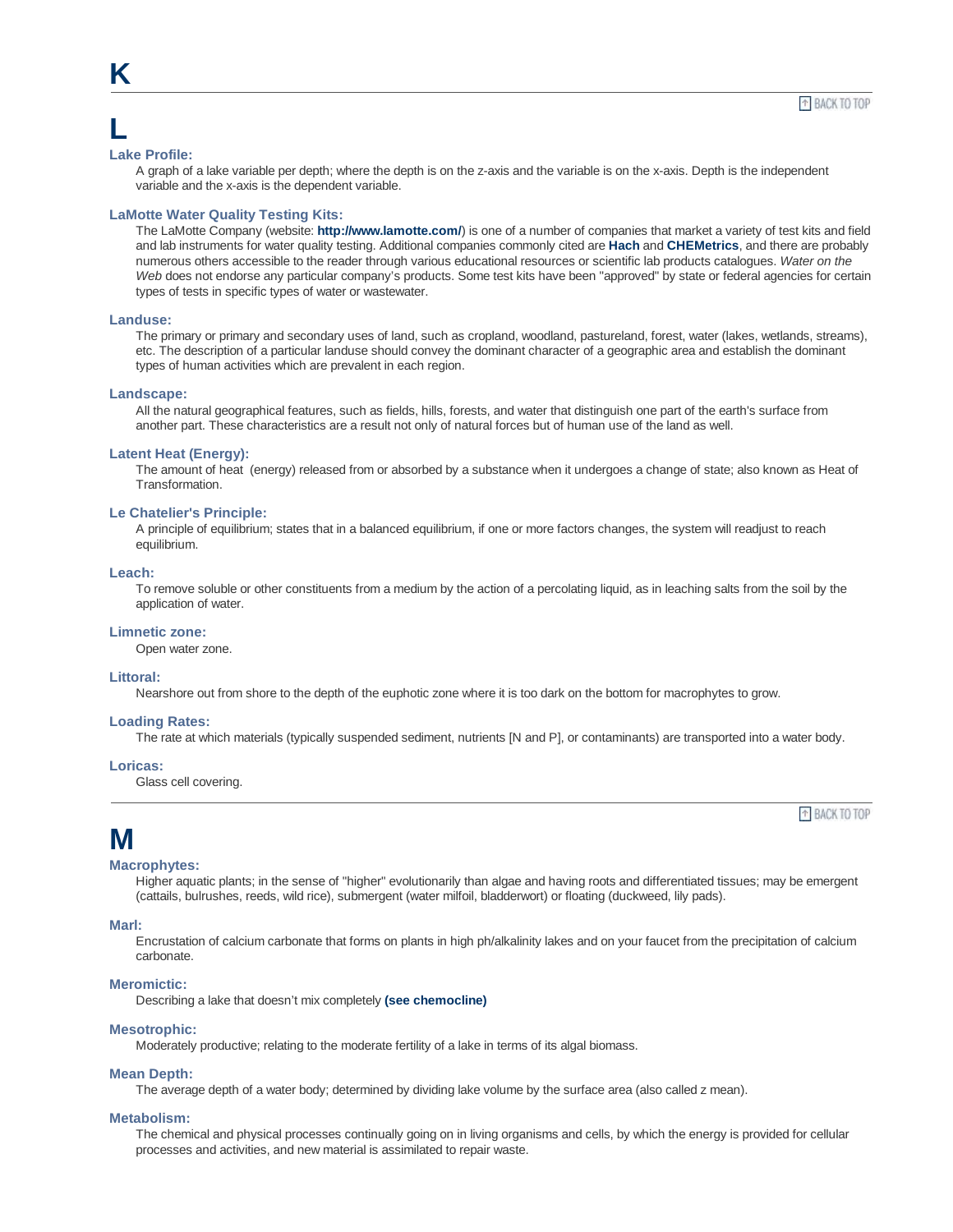## **L**

**K**

#### **Lake Profile:**

A graph of a lake variable per depth; where the depth is on the z-axis and the variable is on the x-axis. Depth is the independent variable and the x-axis is the dependent variable.

## **LaMotte Water Quality Testing Kits:**

The LaMotte Company (website: **http://www.lamotte.com/**) is one of a number of companies that market a variety of test kits and field and lab instruments for water quality testing. Additional companies commonly cited are **Hach** and **CHEMetrics**, and there are probably numerous others accessible to the reader through various educational resources or scientific lab products catalogues. *Water on the Web* does not endorse any particular company's products. Some test kits have been "approved" by state or federal agencies for certain types of tests in specific types of water or wastewater.

#### **Landuse:**

The primary or primary and secondary uses of land, such as cropland, woodland, pastureland, forest, water (lakes, wetlands, streams), etc. The description of a particular landuse should convey the dominant character of a geographic area and establish the dominant types of human activities which are prevalent in each region.

#### **Landscape:**

All the natural geographical features, such as fields, hills, forests, and water that distinguish one part of the earth's surface from another part. These characteristics are a result not only of natural forces but of human use of the land as well.

### **Latent Heat (Energy):**

The amount of heat (energy) released from or absorbed by a substance when it undergoes a change of state; also known as Heat of Transformation.

### **Le Chatelier's Principle:**

A principle of equilibrium; states that in a balanced equilibrium, if one or more factors changes, the system will readjust to reach equilibrium.

## **Leach:**

To remove soluble or other constituents from a medium by the action of a percolating liquid, as in leaching salts from the soil by the application of water.

## **Limnetic zone:**

Open water zone.

## **Littoral:**

Nearshore out from shore to the depth of the euphotic zone where it is too dark on the bottom for macrophytes to grow.

#### **Loading Rates:**

The rate at which materials (typically suspended sediment, nutrients [N and P], or contaminants) are transported into a water body.

## **Loricas:**

Glass cell covering.

<sup>+</sup> BACK TO TOP

## **M**

#### **Macrophytes:**

Higher aquatic plants; in the sense of "higher" evolutionarily than algae and having roots and differentiated tissues; may be emergent (cattails, bulrushes, reeds, wild rice), submergent (water milfoil, bladderwort) or floating (duckweed, lily pads).

#### **Marl:**

Encrustation of calcium carbonate that forms on plants in high ph/alkalinity lakes and on your faucet from the precipitation of calcium carbonate.

## **Meromictic:**

Describing a lake that doesn't mix completely **(see chemocline)**

#### **Mesotrophic:**

Moderately productive; relating to the moderate fertility of a lake in terms of its algal biomass.

#### **Mean Depth:**

The average depth of a water body; determined by dividing lake volume by the surface area (also called z mean).

## **Metabolism:**

The chemical and physical processes continually going on in living organisms and cells, by which the energy is provided for cellular processes and activities, and new material is assimilated to repair waste.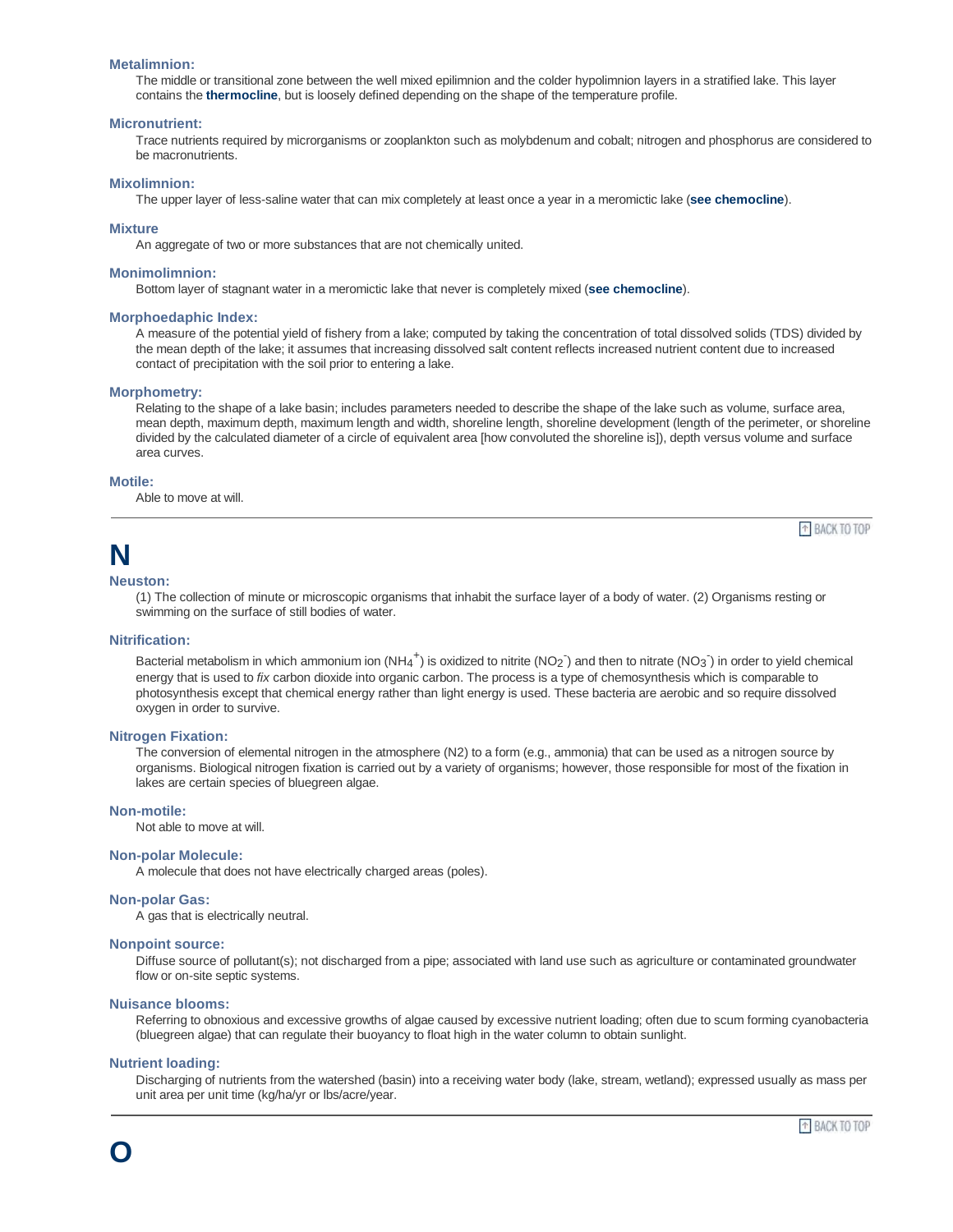#### **Metalimnion:**

The middle or transitional zone between the well mixed epilimnion and the colder hypolimnion layers in a stratified lake. This layer contains the **thermocline**, but is loosely defined depending on the shape of the temperature profile.

#### **Micronutrient:**

Trace nutrients required by microrganisms or zooplankton such as molybdenum and cobalt; nitrogen and phosphorus are considered to be macronutrients.

## **Mixolimnion:**

The upper layer of less-saline water that can mix completely at least once a year in a meromictic lake (**see chemocline**).

#### **Mixture**

An aggregate of two or more substances that are not chemically united.

#### **Monimolimnion:**

Bottom layer of stagnant water in a meromictic lake that never is completely mixed (**see chemocline**).

#### **Morphoedaphic Index:**

A measure of the potential yield of fishery from a lake; computed by taking the concentration of total dissolved solids (TDS) divided by the mean depth of the lake; it assumes that increasing dissolved salt content reflects increased nutrient content due to increased contact of precipitation with the soil prior to entering a lake.

#### **Morphometry:**

Relating to the shape of a lake basin; includes parameters needed to describe the shape of the lake such as volume, surface area, mean depth, maximum depth, maximum length and width, shoreline length, shoreline development (length of the perimeter, or shoreline divided by the calculated diameter of a circle of equivalent area [how convoluted the shoreline is]), depth versus volume and surface area curves.

#### **Motile:**

Able to move at will.

# **N**

## **Neuston:**

(1) The collection of minute or microscopic organisms that inhabit the surface layer of a body of water. (2) Organisms resting or swimming on the surface of still bodies of water.

## **Nitrification:**

Bacterial metabolism in which ammonium ion (NH<sub>4</sub><sup>+</sup>) is oxidized to nitrite (NO<sub>2</sub><sup>-</sup>) and then to nitrate (NO<sub>3</sub><sup>-</sup>) in order to yield chemical energy that is used to *fix* carbon dioxide into organic carbon. The process is a type of chemosynthesis which is comparable to photosynthesis except that chemical energy rather than light energy is used. These bacteria are aerobic and so require dissolved oxygen in order to survive.

#### **Nitrogen Fixation:**

The conversion of elemental nitrogen in the atmosphere (N2) to a form (e.g., ammonia) that can be used as a nitrogen source by organisms. Biological nitrogen fixation is carried out by a variety of organisms; however, those responsible for most of the fixation in lakes are certain species of bluegreen algae.

## **Non-motile:**

Not able to move at will.

## **Non-polar Molecule:**

A molecule that does not have electrically charged areas (poles).

#### **Non-polar Gas:**

A gas that is electrically neutral.

#### **Nonpoint source:**

Diffuse source of pollutant(s); not discharged from a pipe; associated with land use such as agriculture or contaminated groundwater flow or on-site septic systems.

#### **Nuisance blooms:**

Referring to obnoxious and excessive growths of algae caused by excessive nutrient loading; often due to scum forming cyanobacteria (bluegreen algae) that can regulate their buoyancy to float high in the water column to obtain sunlight.

## **Nutrient loading:**

**O**

Discharging of nutrients from the watershed (basin) into a receiving water body (lake, stream, wetland); expressed usually as mass per unit area per unit time (kg/ha/yr or lbs/acre/year.

<sup>+</sup> BACK TO TOP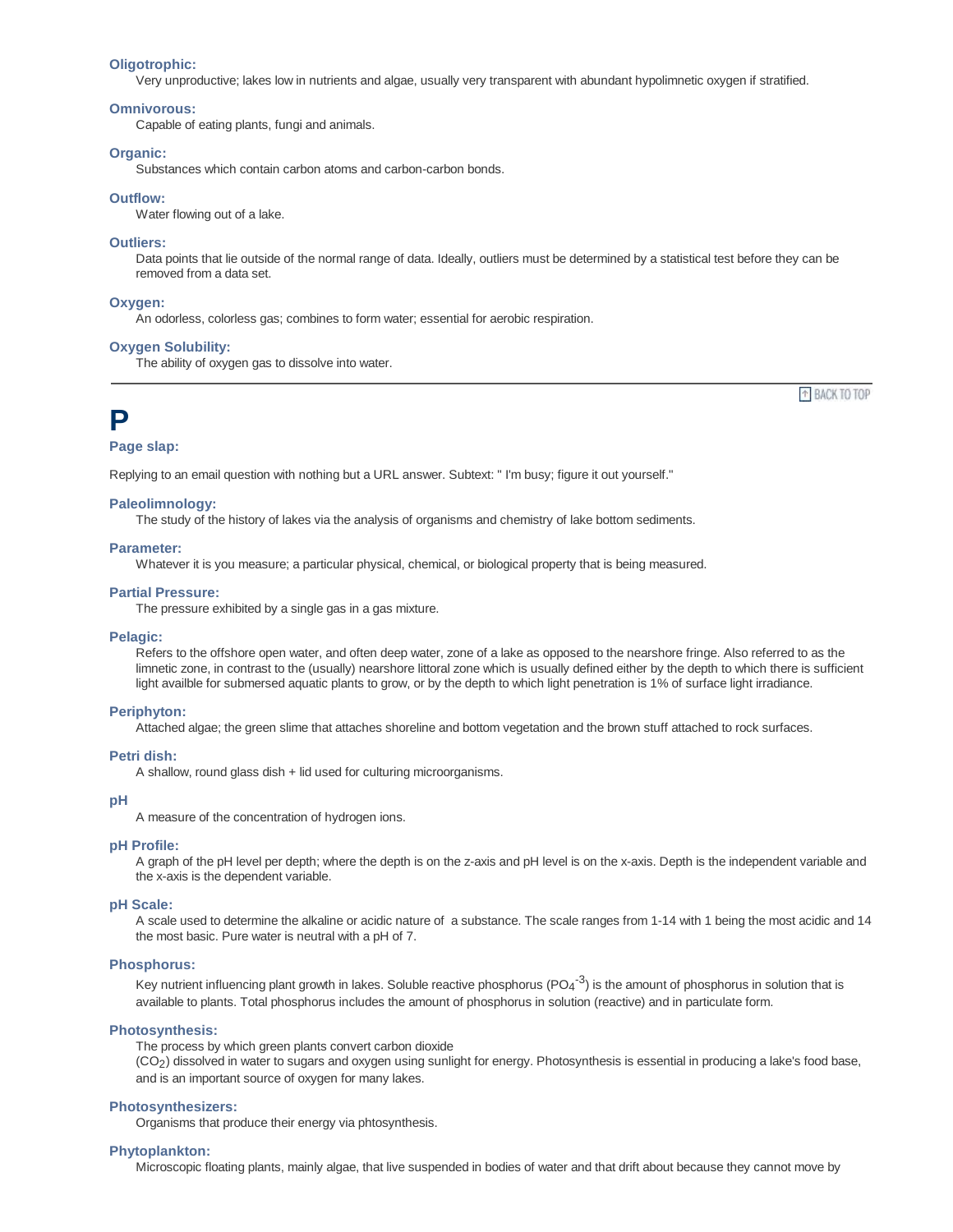#### **Oligotrophic:**

Very unproductive; lakes low in nutrients and algae, usually very transparent with abundant hypolimnetic oxygen if stratified.

#### **Omnivorous:**

Capable of eating plants, fungi and animals.

## **Organic:**

Substances which contain carbon atoms and carbon-carbon bonds.

## **Outflow:**

Water flowing out of a lake.

## **Outliers:**

Data points that lie outside of the normal range of data. Ideally, outliers must be determined by a statistical test before they can be removed from a data set.

#### **Oxygen:**

An odorless, colorless gas; combines to form water; essential for aerobic respiration.

## **Oxygen Solubility:**

The ability of oxygen gas to dissolve into water.

<sup>+</sup> BACK TO TOP

## **P**

## **Page slap:**

Replying to an email question with nothing but a URL answer. Subtext: " I'm busy; figure it out yourself."

#### **Paleolimnology:**

The study of the history of lakes via the analysis of organisms and chemistry of lake bottom sediments.

#### **Parameter:**

Whatever it is you measure; a particular physical, chemical, or biological property that is being measured.

#### **Partial Pressure:**

The pressure exhibited by a single gas in a gas mixture.

#### **Pelagic:**

Refers to the offshore open water, and often deep water, zone of a lake as opposed to the nearshore fringe. Also referred to as the limnetic zone, in contrast to the (usually) nearshore littoral zone which is usually defined either by the depth to which there is sufficient light availble for submersed aquatic plants to grow, or by the depth to which light penetration is 1% of surface light irradiance.

#### **Periphyton:**

Attached algae; the green slime that attaches shoreline and bottom vegetation and the brown stuff attached to rock surfaces.

## **Petri dish:**

A shallow, round glass dish + lid used for culturing microorganisms.

#### **pH**

A measure of the concentration of hydrogen ions.

#### **pH Profile:**

A graph of the pH level per depth; where the depth is on the z-axis and pH level is on the x-axis. Depth is the independent variable and the x-axis is the dependent variable.

## **pH Scale:**

A scale used to determine the alkaline or acidic nature of a substance. The scale ranges from 1-14 with 1 being the most acidic and 14 the most basic. Pure water is neutral with a pH of 7.

## **Phosphorus:**

Key nutrient influencing plant growth in lakes. Soluble reactive phosphorus (PO4<sup>-3</sup>) is the amount of phosphorus in solution that is available to plants. Total phosphorus includes the amount of phosphorus in solution (reactive) and in particulate form.

#### **Photosynthesis:**

The process by which green plants convert carbon dioxide

(CO2) dissolved in water to sugars and oxygen using sunlight for energy. Photosynthesis is essential in producing a lake's food base, and is an important source of oxygen for many lakes.

#### **Photosynthesizers:**

Organisms that produce their energy via phtosynthesis.

#### **Phytoplankton:**

Microscopic floating plants, mainly algae, that live suspended in bodies of water and that drift about because they cannot move by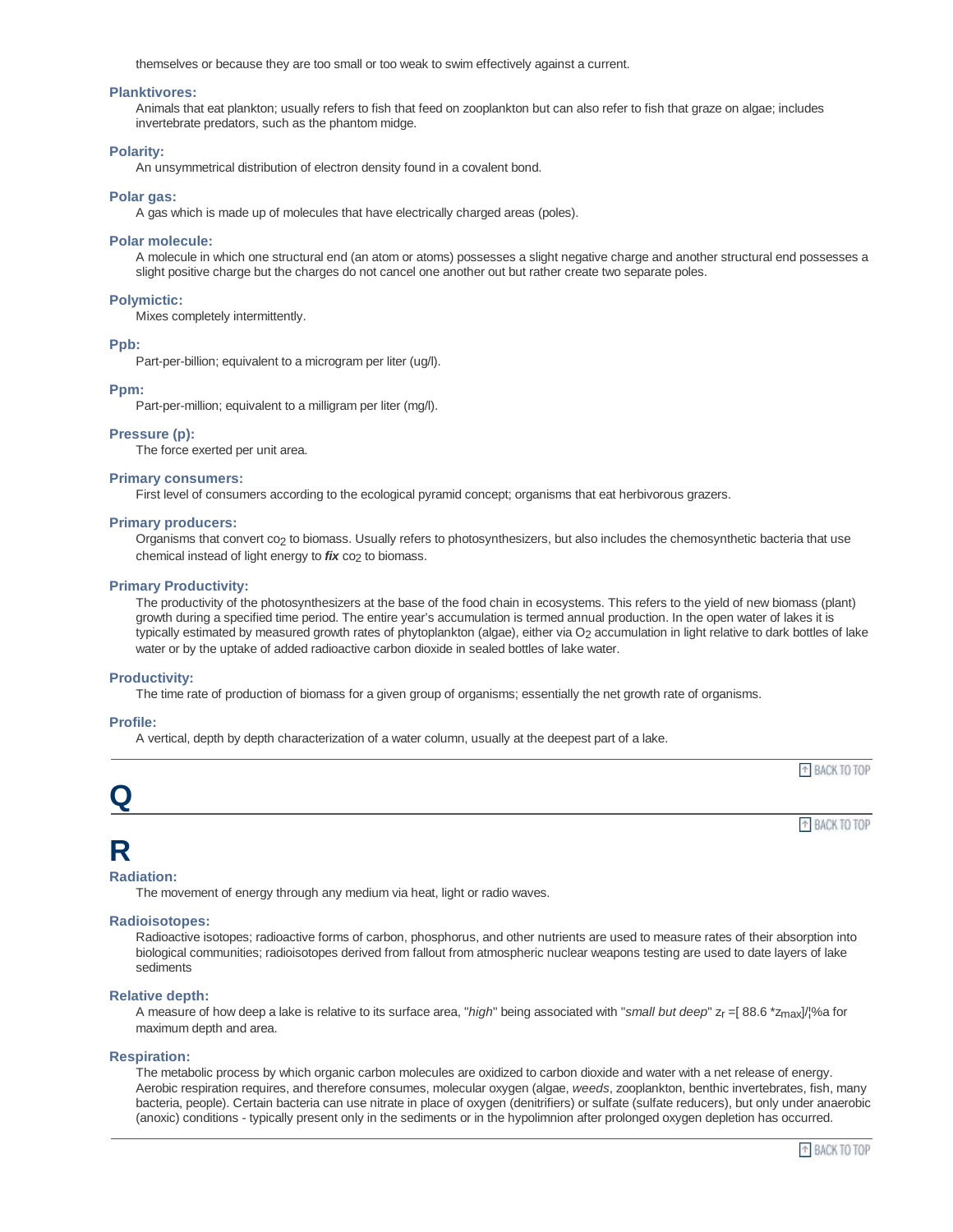themselves or because they are too small or too weak to swim effectively against a current.

## **Planktivores:**

Animals that eat plankton; usually refers to fish that feed on zooplankton but can also refer to fish that graze on algae; includes invertebrate predators, such as the phantom midge.

## **Polarity:**

An unsymmetrical distribution of electron density found in a covalent bond.

## **Polar gas:**

A gas which is made up of molecules that have electrically charged areas (poles).

#### **Polar molecule:**

A molecule in which one structural end (an atom or atoms) possesses a slight negative charge and another structural end possesses a slight positive charge but the charges do not cancel one another out but rather create two separate poles.

## **Polymictic:**

Mixes completely intermittently.

#### **Ppb:**

Part-per-billion; equivalent to a microgram per liter (ug/l).

#### **Ppm:**

Part-per-million; equivalent to a milligram per liter (mg/l).

## **Pressure (p):**

The force exerted per unit area.

#### **Primary consumers:**

First level of consumers according to the ecological pyramid concept; organisms that eat herbivorous grazers.

#### **Primary producers:**

Organisms that convert co2 to biomass. Usually refers to photosynthesizers, but also includes the chemosynthetic bacteria that use chemical instead of light energy to *fix* co<sub>2</sub> to biomass.

#### **Primary Productivity:**

The productivity of the photosynthesizers at the base of the food chain in ecosystems. This refers to the yield of new biomass (plant) growth during a specified time period. The entire year's accumulation is termed annual production. In the open water of lakes it is typically estimated by measured growth rates of phytoplankton (algae), either via O<sub>2</sub> accumulation in light relative to dark bottles of lake water or by the uptake of added radioactive carbon dioxide in sealed bottles of lake water.

#### **Productivity:**

The time rate of production of biomass for a given group of organisms; essentially the net growth rate of organisms.

## **Profile:**

A vertical, depth by depth characterization of a water column, usually at the deepest part of a lake.



## **R**

## **Radiation:**

The movement of energy through any medium via heat, light or radio waves.

## **Radioisotopes:**

Radioactive isotopes; radioactive forms of carbon, phosphorus, and other nutrients are used to measure rates of their absorption into biological communities; radioisotopes derived from fallout from atmospheric nuclear weapons testing are used to date layers of lake sediments

## **Relative depth:**

A measure of how deep a lake is relative to its surface area, "*high*" being associated with "*small but deep*" zr =[ 88.6 \*zmax]/¦%a for maximum depth and area.

## **Respiration:**

The metabolic process by which organic carbon molecules are oxidized to carbon dioxide and water with a net release of energy. Aerobic respiration requires, and therefore consumes, molecular oxygen (algae, *weeds*, zooplankton, benthic invertebrates, fish, many bacteria, people). Certain bacteria can use nitrate in place of oxygen (denitrifiers) or sulfate (sulfate reducers), but only under anaerobic (anoxic) conditions - typically present only in the sediments or in the hypolimnion after prolonged oxygen depletion has occurred.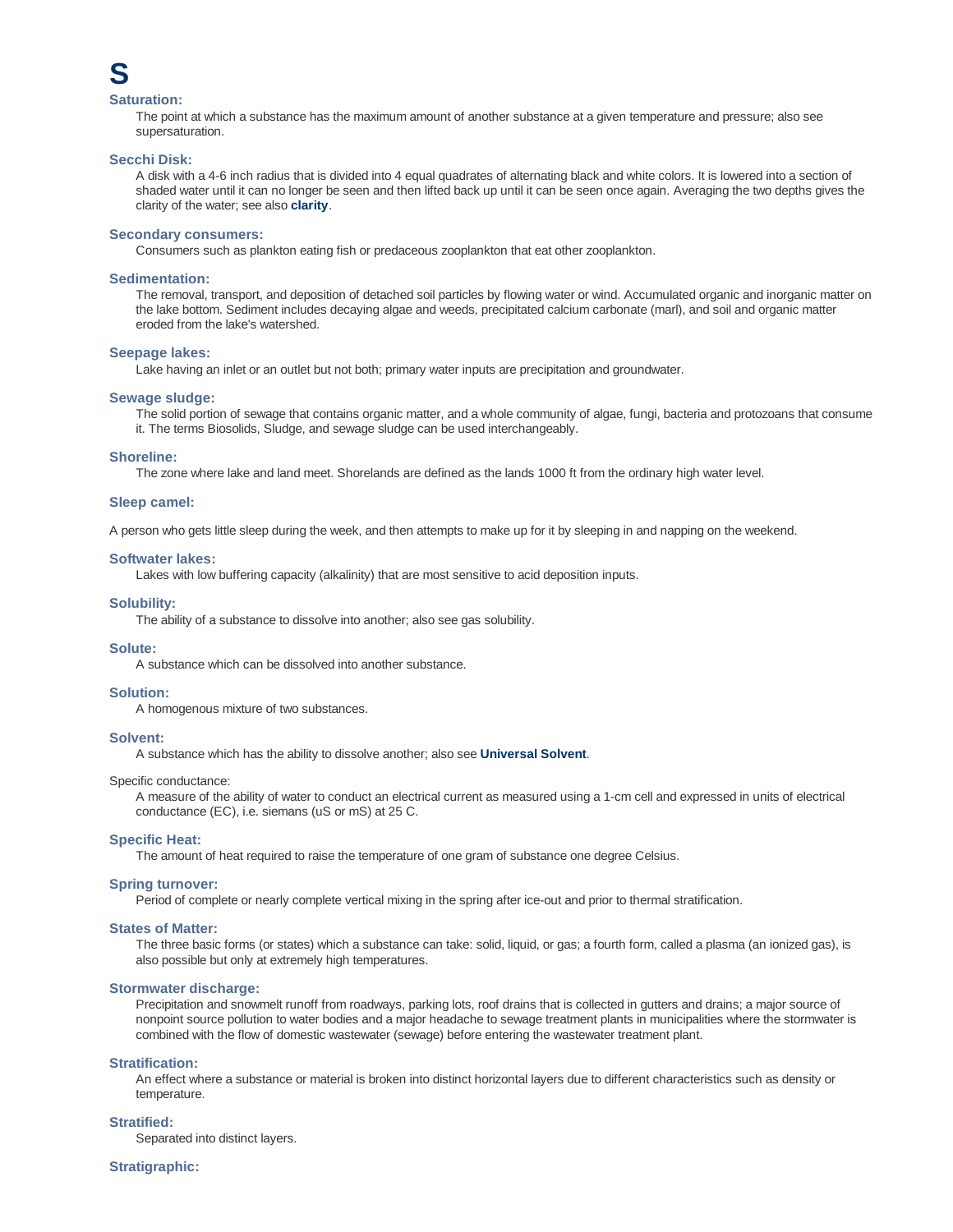

## **Saturation:**

The point at which a substance has the maximum amount of another substance at a given temperature and pressure; also see supersaturation.

#### **Secchi Disk:**

A disk with a 4-6 inch radius that is divided into 4 equal quadrates of alternating black and white colors. It is lowered into a section of shaded water until it can no longer be seen and then lifted back up until it can be seen once again. Averaging the two depths gives the clarity of the water; see also **clarity**.

#### **Secondary consumers:**

Consumers such as plankton eating fish or predaceous zooplankton that eat other zooplankton.

#### **Sedimentation:**

The removal, transport, and deposition of detached soil particles by flowing water or wind. Accumulated organic and inorganic matter on the lake bottom. Sediment includes decaying algae and weeds, precipitated calcium carbonate (marl), and soil and organic matter eroded from the lake's watershed.

#### **Seepage lakes:**

Lake having an inlet or an outlet but not both; primary water inputs are precipitation and groundwater.

#### **Sewage sludge:**

The solid portion of sewage that contains organic matter, and a whole community of algae, fungi, bacteria and protozoans that consume it. The terms Biosolids, Sludge, and sewage sludge can be used interchangeably.

#### **Shoreline:**

The zone where lake and land meet. Shorelands are defined as the lands 1000 ft from the ordinary high water level.

#### **Sleep camel:**

A person who gets little sleep during the week, and then attempts to make up for it by sleeping in and napping on the weekend.

#### **Softwater lakes:**

Lakes with low buffering capacity (alkalinity) that are most sensitive to acid deposition inputs.

#### **Solubility:**

The ability of a substance to dissolve into another; also see gas solubility.

#### **Solute:**

A substance which can be dissolved into another substance.

#### **Solution:**

A homogenous mixture of two substances.

#### **Solvent:**

A substance which has the ability to dissolve another; also see **Universal Solvent**.

#### Specific conductance:

A measure of the ability of water to conduct an electrical current as measured using a 1-cm cell and expressed in units of electrical conductance (EC), i.e. siemans (uS or mS) at 25 C.

#### **Specific Heat:**

The amount of heat required to raise the temperature of one gram of substance one degree Celsius.

## **Spring turnover:**

Period of complete or nearly complete vertical mixing in the spring after ice-out and prior to thermal stratification.

#### **States of Matter:**

The three basic forms (or states) which a substance can take: solid, liquid, or gas; a fourth form, called a plasma (an ionized gas), is also possible but only at extremely high temperatures.

#### **Stormwater discharge:**

Precipitation and snowmelt runoff from roadways, parking lots, roof drains that is collected in gutters and drains; a major source of nonpoint source pollution to water bodies and a major headache to sewage treatment plants in municipalities where the stormwater is combined with the flow of domestic wastewater (sewage) before entering the wastewater treatment plant.

## **Stratification:**

An effect where a substance or material is broken into distinct horizontal layers due to different characteristics such as density or temperature.

## **Stratified:**

Separated into distinct layers.

#### **Stratigraphic:**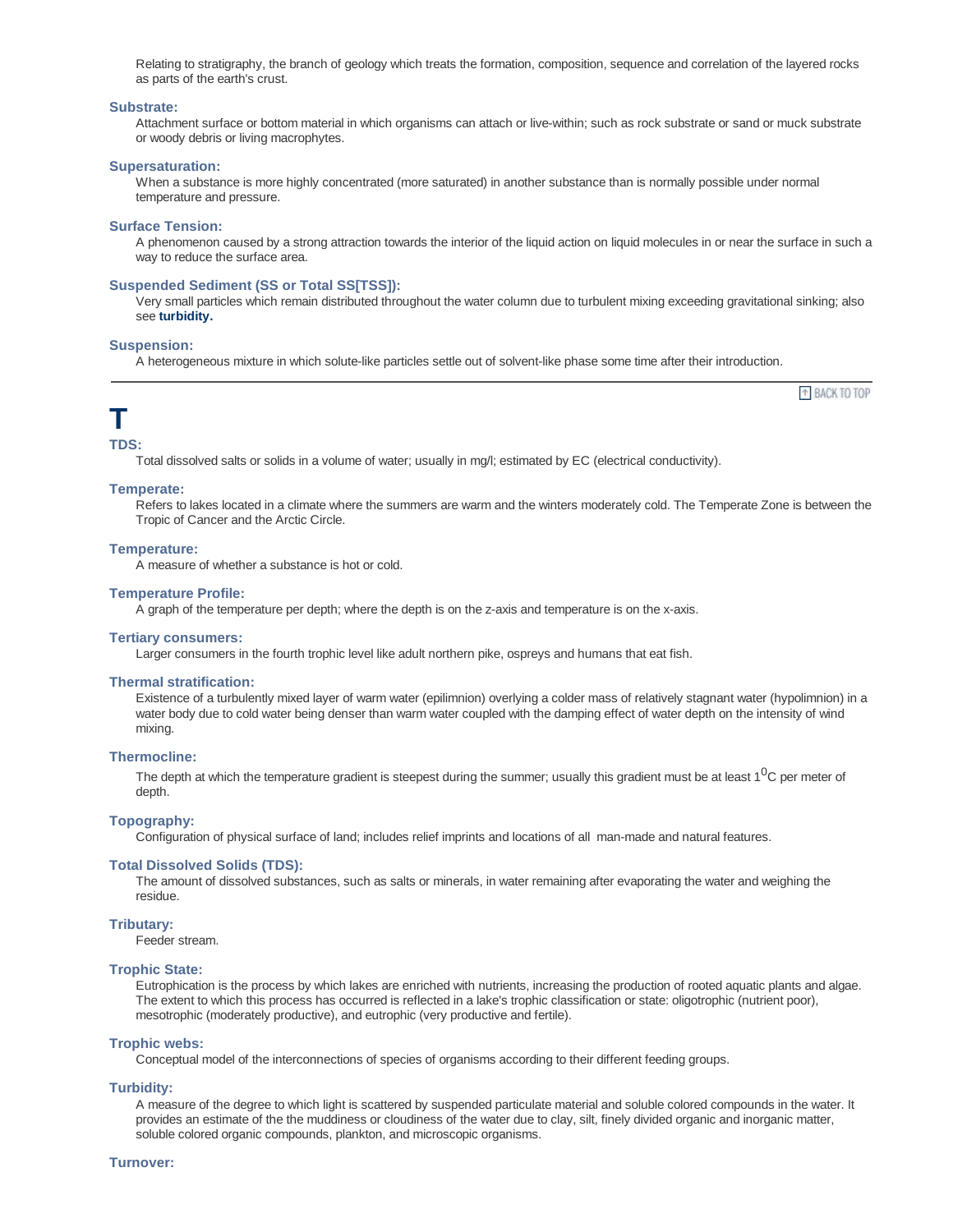Relating to stratigraphy, the branch of geology which treats the formation, composition, sequence and correlation of the layered rocks as parts of the earth's crust.

#### **Substrate:**

Attachment surface or bottom material in which organisms can attach or live-within; such as rock substrate or sand or muck substrate or woody debris or living macrophytes.

#### **Supersaturation:**

When a substance is more highly concentrated (more saturated) in another substance than is normally possible under normal temperature and pressure.

#### **Surface Tension:**

A phenomenon caused by a strong attraction towards the interior of the liquid action on liquid molecules in or near the surface in such a way to reduce the surface area.

#### **Suspended Sediment (SS or Total SS[TSS]):**

Very small particles which remain distributed throughout the water column due to turbulent mixing exceeding gravitational sinking; also see **turbidity.**

## **Suspension:**

A heterogeneous mixture in which solute-like particles settle out of solvent-like phase some time after their introduction.

<sup>+</sup> BACK TO TOP

## **T**

**TDS:**

Total dissolved salts or solids in a volume of water; usually in mg/l; estimated by EC (electrical conductivity).

#### **Temperate:**

Refers to lakes located in a climate where the summers are warm and the winters moderately cold. The Temperate Zone is between the Tropic of Cancer and the Arctic Circle.

#### **Temperature:**

A measure of whether a substance is hot or cold.

## **Temperature Profile:**

A graph of the temperature per depth; where the depth is on the z-axis and temperature is on the x-axis.

#### **Tertiary consumers:**

Larger consumers in the fourth trophic level like adult northern pike, ospreys and humans that eat fish.

#### **Thermal stratification:**

Existence of a turbulently mixed layer of warm water (epilimnion) overlying a colder mass of relatively stagnant water (hypolimnion) in a water body due to cold water being denser than warm water coupled with the damping effect of water depth on the intensity of wind mixing.

## **Thermocline:**

The depth at which the temperature gradient is steepest during the summer; usually this gradient must be at least 1<sup>0</sup>C per meter of depth.

## **Topography:**

Configuration of physical surface of land; includes relief imprints and locations of all man-made and natural features.

#### **Total Dissolved Solids (TDS):**

The amount of dissolved substances, such as salts or minerals, in water remaining after evaporating the water and weighing the residue.

#### **Tributary:**

Feeder stream.

## **Trophic State:**

Eutrophication is the process by which lakes are enriched with nutrients, increasing the production of rooted aquatic plants and algae. The extent to which this process has occurred is reflected in a lake's trophic classification or state: oligotrophic (nutrient poor), mesotrophic (moderately productive), and eutrophic (very productive and fertile).

#### **Trophic webs:**

Conceptual model of the interconnections of species of organisms according to their different feeding groups.

## **Turbidity:**

A measure of the degree to which light is scattered by suspended particulate material and soluble colored compounds in the water. It provides an estimate of the the muddiness or cloudiness of the water due to clay, silt, finely divided organic and inorganic matter, soluble colored organic compounds, plankton, and microscopic organisms.

#### **Turnover:**